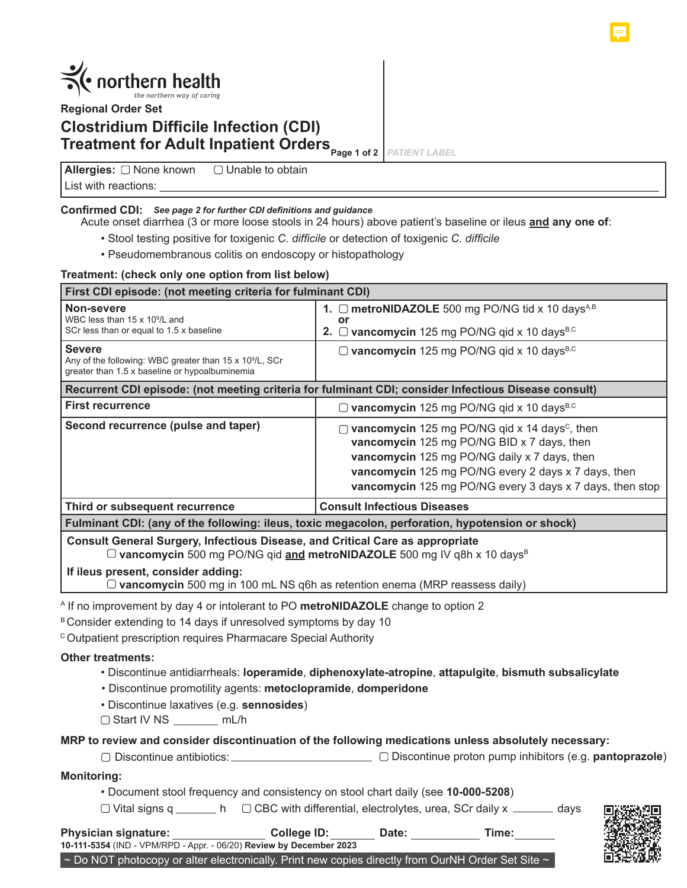

**Regional Order Set**

# **Clostridium Difficile Infection (CDI) Treatment for Adult Inpatient Orders** Page 1 of 2

*PATIENT LABEL*

**Allergies:** List with reactions:  $\Box$  Unable to obtain

# **Confirmed CDI:** *See page 2 for further CDI definitions and guidance*

Acute onset diarrhea (3 or more loose stools in 24 hours) above patient's baseline or ileus **and any one of**:

- Stool testing positive for toxigenic *C. difficile* or detection of toxigenic *C. difficile*
- Pseudomembranous colitis on endoscopy or histopathology

### **Treatment: (check only one option from list below)**

| First CDI episode: (not meeting criteria for fulminant CDI)                                                                                                                |                                                                                                                                                                                                                                                                            |  |  |  |
|----------------------------------------------------------------------------------------------------------------------------------------------------------------------------|----------------------------------------------------------------------------------------------------------------------------------------------------------------------------------------------------------------------------------------------------------------------------|--|--|--|
| Non-severe<br>WBC less than 15 x 10 <sup>9</sup> /L and<br>SCr less than or equal to 1.5 x baseline                                                                        | 1. $\Box$ metroNIDAZOLE 500 mg PO/NG tid x 10 days <sup>A,B</sup><br>or<br>2. $\Box$ vancomycin 125 mg PO/NG qid x 10 days <sup>B,C</sup>                                                                                                                                  |  |  |  |
| <b>Severe</b><br>Any of the following: WBC greater than 15 x 10 <sup>9</sup> /L, SCr<br>greater than 1.5 x baseline or hypoalbuminemia                                     | $\Box$ vancomycin 125 mg PO/NG qid x 10 days <sup>B,C</sup>                                                                                                                                                                                                                |  |  |  |
| Recurrent CDI episode: (not meeting criteria for fulminant CDI; consider Infectious Disease consult)                                                                       |                                                                                                                                                                                                                                                                            |  |  |  |
| <b>First recurrence</b>                                                                                                                                                    | $\Box$ vancomycin 125 mg PO/NG qid x 10 days <sup>B,C</sup>                                                                                                                                                                                                                |  |  |  |
| Second recurrence (pulse and taper)                                                                                                                                        | vancomycin 125 mg PO/NG qid x 14 days <sup>c</sup> , then<br>vancomycin 125 mg PO/NG BID x 7 days, then<br>vancomycin 125 mg PO/NG daily x 7 days, then<br>vancomycin 125 mg PO/NG every 2 days x 7 days, then<br>vancomycin 125 mg PO/NG every 3 days x 7 days, then stop |  |  |  |
| Third or subsequent recurrence                                                                                                                                             | <b>Consult Infectious Diseases</b>                                                                                                                                                                                                                                         |  |  |  |
| Fulminant CDI: (any of the following: ileus, toxic megacolon, perforation, hypotension or shock)                                                                           |                                                                                                                                                                                                                                                                            |  |  |  |
| Consult General Surgery, Infectious Disease, and Critical Care as appropriate<br>$\Box$ vancomycin 500 mg PO/NG qid and metroNIDAZOLE 500 mg IV q8h x 10 days <sup>B</sup> |                                                                                                                                                                                                                                                                            |  |  |  |
| If ileus present, consider adding:<br>$\Box$ vancomycin 500 mg in 100 mL NS q6h as retention enema (MRP reassess daily)                                                    |                                                                                                                                                                                                                                                                            |  |  |  |
| <sup>A</sup> If no improvement by day 4 or intolerant to PO metroNIDAZOLE change to option 2                                                                               |                                                                                                                                                                                                                                                                            |  |  |  |

B Consider extending to 14 days if unresolved symptoms by day 10

<sup>c</sup> Outpatient prescription requires Pharmacare Special Authority

## **Other treatments:**

- Discontinue antidiarrheals: **loperamide**, **diphenoxylate-atropine**, **attapulgite**, **bismuth subsalicylate**
- Discontinue promotility agents: **metoclopramide**, **domperidone**
- Discontinue laxatives (e.g. **sennosides**)
- $\Box$  Start IV NS  $\_\_\_\_\_\_\_\_$  mL/h

## **MRP to review and consider discontinuation of the following medications unless absolutely necessary:**

Discontinue antibiotics: Discontinue proton pump inhibitors (e.g. **pantoprazole**)

## **Monitoring:**

• Document stool frequency and consistency on stool chart daily (see **10-000-5208**)

 $\Box$  Vital signs q \_\_\_\_\_\_\_ h  $\Box$  CBC with differential, electrolytes, urea, SCr daily x \_\_\_\_\_\_ days



| <b>Physician signature:</b>                                         | College ID: | Date: | Time: |
|---------------------------------------------------------------------|-------------|-------|-------|
| 10-111-5354 (IND - VPM/RPD - Appr. - 06/20) Review by December 2023 |             |       |       |

 $\sim$  Do NOT photocopy or alter electronically. Print new copies directly from OurNH Order Set Site  $\sim$